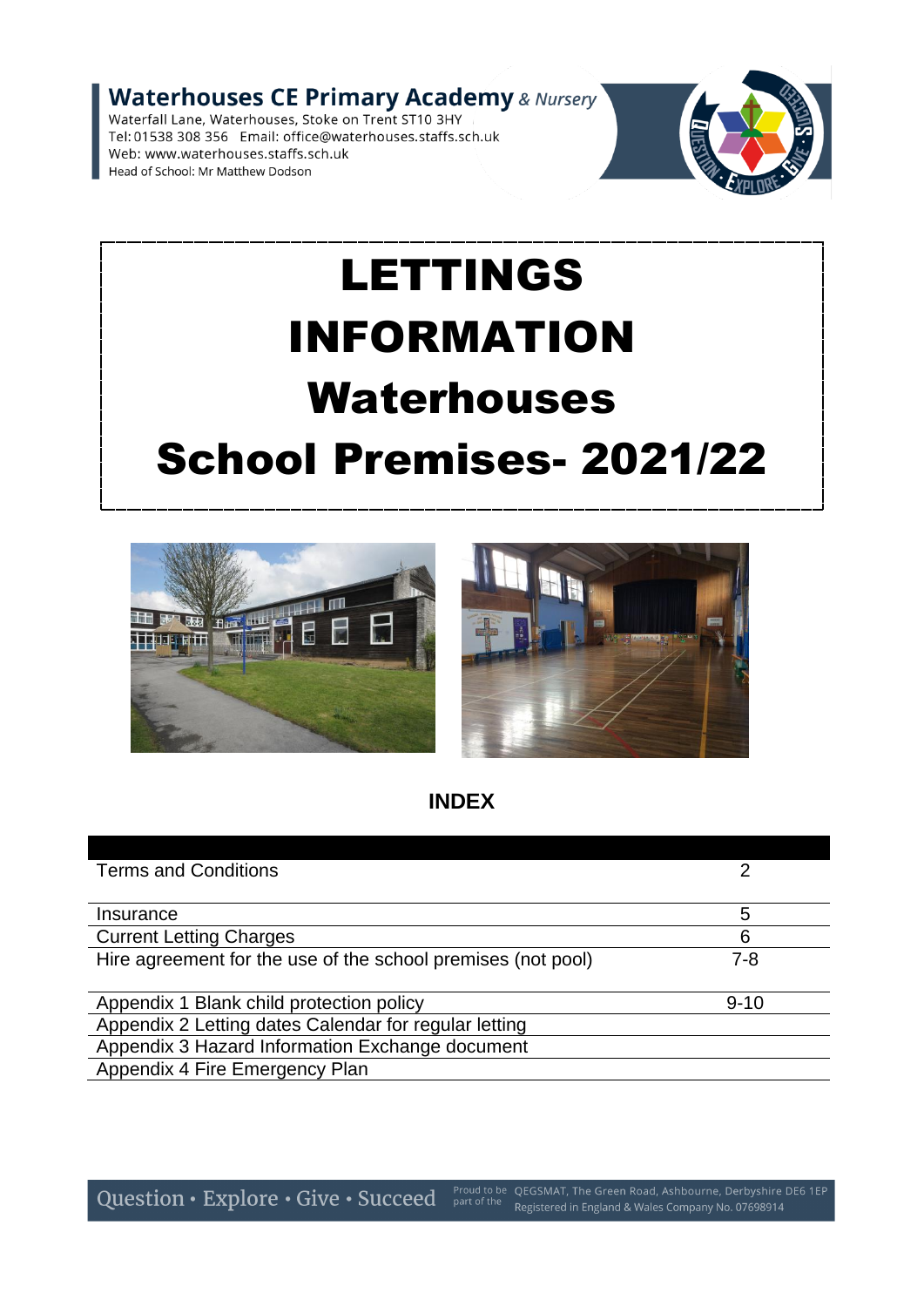**Waterhouses CE Primary Academy & Nursery** 

Waterfall Lane, Waterhouses, Stoke on Trent ST10 3HY Tel: 01538 308 356 Email: office@waterhouses.staffs.sch.uk Web: www.waterhouses.staffs.sch.uk Head of School: Mr Matthew Dodson



# LETTINGS INFORMATION Waterhouses School Premises- 2021/22



**INDEX**

| 5        |
|----------|
| 6        |
| $7 - 8$  |
|          |
| $9 - 10$ |
|          |
|          |
|          |
|          |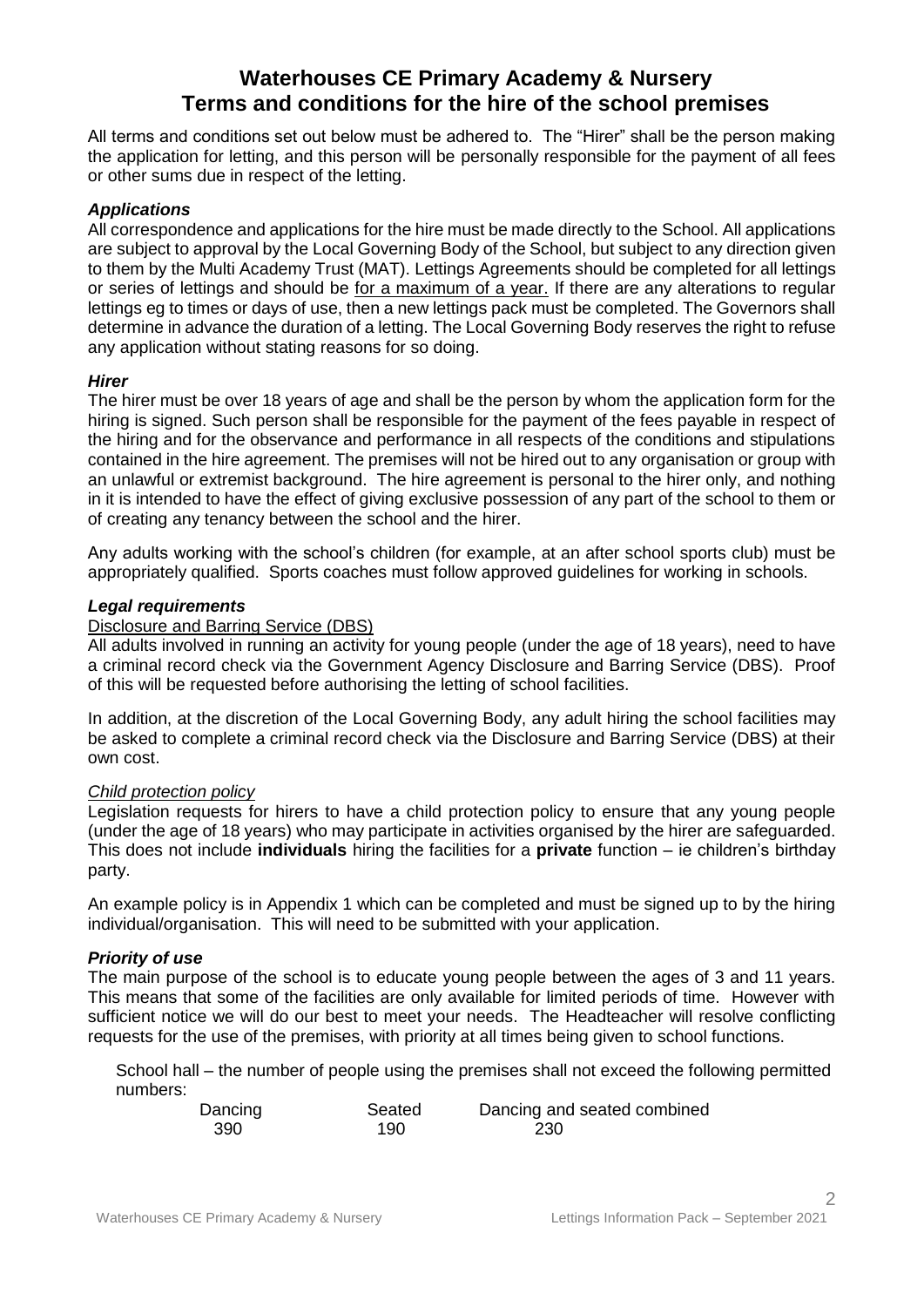# **Waterhouses CE Primary Academy & Nursery Terms and conditions for the hire of the school premises**

All terms and conditions set out below must be adhered to. The "Hirer" shall be the person making the application for letting, and this person will be personally responsible for the payment of all fees or other sums due in respect of the letting.

# *Applications*

All correspondence and applications for the hire must be made directly to the School. All applications are subject to approval by the Local Governing Body of the School, but subject to any direction given to them by the Multi Academy Trust (MAT). Lettings Agreements should be completed for all lettings or series of lettings and should be for a maximum of a year. If there are any alterations to regular lettings eg to times or days of use, then a new lettings pack must be completed. The Governors shall determine in advance the duration of a letting. The Local Governing Body reserves the right to refuse any application without stating reasons for so doing.

# *Hirer*

The hirer must be over 18 years of age and shall be the person by whom the application form for the hiring is signed. Such person shall be responsible for the payment of the fees payable in respect of the hiring and for the observance and performance in all respects of the conditions and stipulations contained in the hire agreement. The premises will not be hired out to any organisation or group with an unlawful or extremist background. The hire agreement is personal to the hirer only, and nothing in it is intended to have the effect of giving exclusive possession of any part of the school to them or of creating any tenancy between the school and the hirer.

Any adults working with the school's children (for example, at an after school sports club) must be appropriately qualified. Sports coaches must follow approved guidelines for working in schools.

#### *Legal requirements*

### Disclosure and Barring Service (DBS)

All adults involved in running an activity for young people (under the age of 18 years), need to have a criminal record check via the Government Agency Disclosure and Barring Service (DBS). Proof of this will be requested before authorising the letting of school facilities.

In addition, at the discretion of the Local Governing Body, any adult hiring the school facilities may be asked to complete a criminal record check via the Disclosure and Barring Service (DBS) at their own cost.

# *Child protection policy*

Legislation requests for hirers to have a child protection policy to ensure that any young people (under the age of 18 years) who may participate in activities organised by the hirer are safeguarded. This does not include **individuals** hiring the facilities for a **private** function – ie children's birthday party.

An example policy is in Appendix 1 which can be completed and must be signed up to by the hiring individual/organisation. This will need to be submitted with your application.

# *Priority of use*

The main purpose of the school is to educate young people between the ages of 3 and 11 years. This means that some of the facilities are only available for limited periods of time. However with sufficient notice we will do our best to meet your needs. The Headteacher will resolve conflicting requests for the use of the premises, with priority at all times being given to school functions.

School hall – the number of people using the premises shall not exceed the following permitted numbers:

| Dancing | Seated | Dancing and seated combined |
|---------|--------|-----------------------------|
| 390     | 190    | 230                         |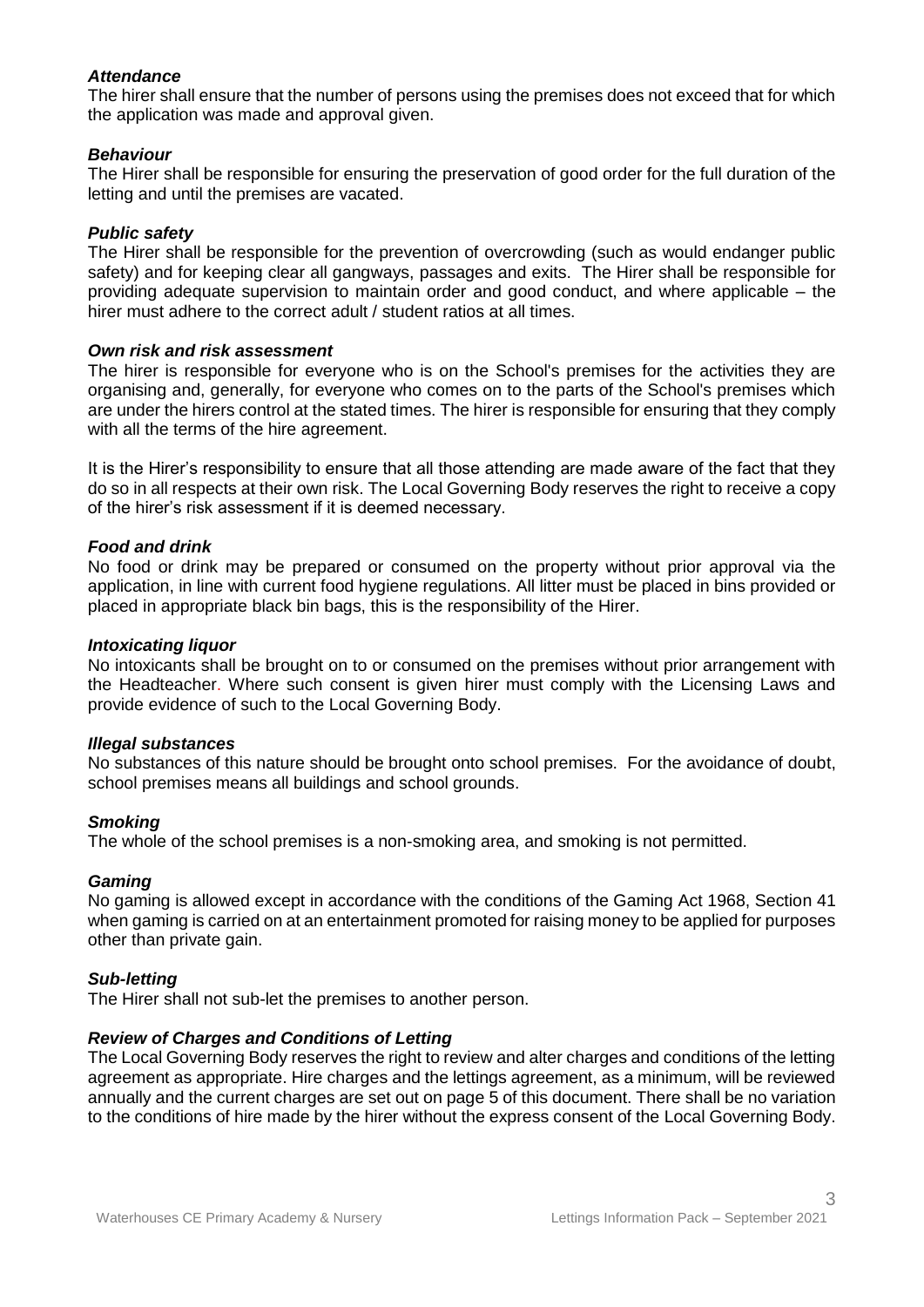# *Attendance*

The hirer shall ensure that the number of persons using the premises does not exceed that for which the application was made and approval given.

# *Behaviour*

The Hirer shall be responsible for ensuring the preservation of good order for the full duration of the letting and until the premises are vacated.

### *Public safety*

The Hirer shall be responsible for the prevention of overcrowding (such as would endanger public safety) and for keeping clear all gangways, passages and exits. The Hirer shall be responsible for providing adequate supervision to maintain order and good conduct, and where applicable – the hirer must adhere to the correct adult / student ratios at all times.

#### *Own risk and risk assessment*

The hirer is responsible for everyone who is on the School's premises for the activities they are organising and, generally, for everyone who comes on to the parts of the School's premises which are under the hirers control at the stated times. The hirer is responsible for ensuring that they comply with all the terms of the hire agreement.

It is the Hirer's responsibility to ensure that all those attending are made aware of the fact that they do so in all respects at their own risk. The Local Governing Body reserves the right to receive a copy of the hirer's risk assessment if it is deemed necessary.

#### *Food and drink*

No food or drink may be prepared or consumed on the property without prior approval via the application, in line with current food hygiene regulations. All litter must be placed in bins provided or placed in appropriate black bin bags, this is the responsibility of the Hirer.

#### *Intoxicating liquor*

No intoxicants shall be brought on to or consumed on the premises without prior arrangement with the Headteacher. Where such consent is given hirer must comply with the Licensing Laws and provide evidence of such to the Local Governing Body.

#### *Illegal substances*

No substances of this nature should be brought onto school premises. For the avoidance of doubt, school premises means all buildings and school grounds.

#### *Smoking*

The whole of the school premises is a non-smoking area, and smoking is not permitted.

#### *Gaming*

No gaming is allowed except in accordance with the conditions of the Gaming Act 1968, Section 41 when gaming is carried on at an entertainment promoted for raising money to be applied for purposes other than private gain.

#### *Sub-letting*

The Hirer shall not sub-let the premises to another person.

# *Review of Charges and Conditions of Letting*

The Local Governing Body reserves the right to review and alter charges and conditions of the letting agreement as appropriate. Hire charges and the lettings agreement, as a minimum, will be reviewed annually and the current charges are set out on page 5 of this document. There shall be no variation to the conditions of hire made by the hirer without the express consent of the Local Governing Body.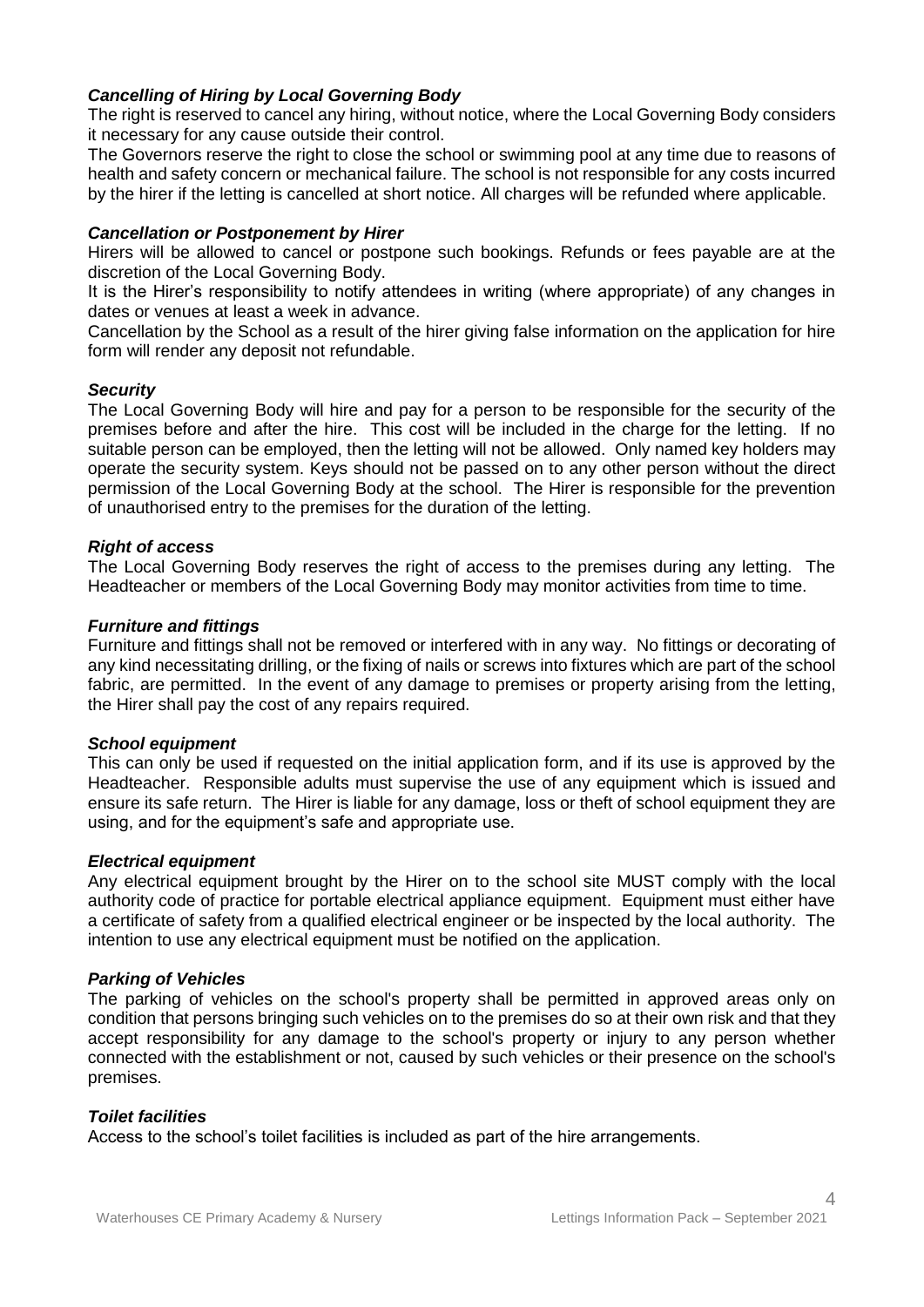### *Cancelling of Hiring by Local Governing Body*

The right is reserved to cancel any hiring, without notice, where the Local Governing Body considers it necessary for any cause outside their control.

The Governors reserve the right to close the school or swimming pool at any time due to reasons of health and safety concern or mechanical failure. The school is not responsible for any costs incurred by the hirer if the letting is cancelled at short notice. All charges will be refunded where applicable.

#### *Cancellation or Postponement by Hirer*

Hirers will be allowed to cancel or postpone such bookings. Refunds or fees payable are at the discretion of the Local Governing Body.

It is the Hirer's responsibility to notify attendees in writing (where appropriate) of any changes in dates or venues at least a week in advance.

Cancellation by the School as a result of the hirer giving false information on the application for hire form will render any deposit not refundable.

#### *Security*

The Local Governing Body will hire and pay for a person to be responsible for the security of the premises before and after the hire. This cost will be included in the charge for the letting. If no suitable person can be employed, then the letting will not be allowed. Only named key holders may operate the security system. Keys should not be passed on to any other person without the direct permission of the Local Governing Body at the school. The Hirer is responsible for the prevention of unauthorised entry to the premises for the duration of the letting.

#### *Right of access*

The Local Governing Body reserves the right of access to the premises during any letting. The Headteacher or members of the Local Governing Body may monitor activities from time to time.

#### *Furniture and fittings*

Furniture and fittings shall not be removed or interfered with in any way. No fittings or decorating of any kind necessitating drilling, or the fixing of nails or screws into fixtures which are part of the school fabric, are permitted. In the event of any damage to premises or property arising from the letting, the Hirer shall pay the cost of any repairs required.

#### *School equipment*

This can only be used if requested on the initial application form, and if its use is approved by the Headteacher. Responsible adults must supervise the use of any equipment which is issued and ensure its safe return. The Hirer is liable for any damage, loss or theft of school equipment they are using, and for the equipment's safe and appropriate use.

#### *Electrical equipment*

Any electrical equipment brought by the Hirer on to the school site MUST comply with the local authority code of practice for portable electrical appliance equipment. Equipment must either have a certificate of safety from a qualified electrical engineer or be inspected by the local authority. The intention to use any electrical equipment must be notified on the application.

#### *Parking of Vehicles*

The parking of vehicles on the school's property shall be permitted in approved areas only on condition that persons bringing such vehicles on to the premises do so at their own risk and that they accept responsibility for any damage to the school's property or injury to any person whether connected with the establishment or not, caused by such vehicles or their presence on the school's premises.

#### *Toilet facilities*

Access to the school's toilet facilities is included as part of the hire arrangements.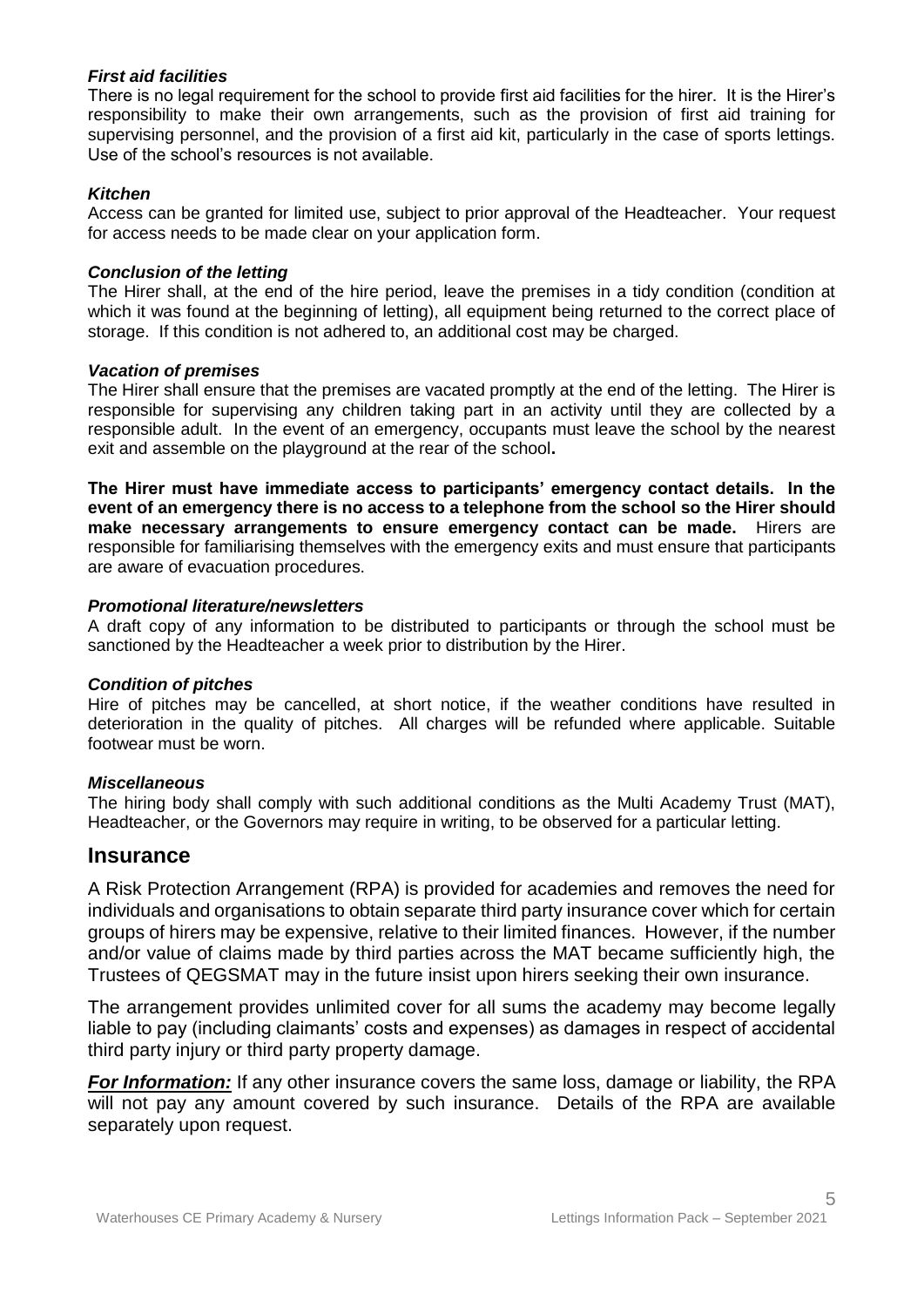# *First aid facilities*

There is no legal requirement for the school to provide first aid facilities for the hirer. It is the Hirer's responsibility to make their own arrangements, such as the provision of first aid training for supervising personnel, and the provision of a first aid kit, particularly in the case of sports lettings. Use of the school's resources is not available.

# *Kitchen*

Access can be granted for limited use, subject to prior approval of the Headteacher. Your request for access needs to be made clear on your application form.

# *Conclusion of the letting*

The Hirer shall, at the end of the hire period, leave the premises in a tidy condition (condition at which it was found at the beginning of letting), all equipment being returned to the correct place of storage. If this condition is not adhered to, an additional cost may be charged.

#### *Vacation of premises*

The Hirer shall ensure that the premises are vacated promptly at the end of the letting. The Hirer is responsible for supervising any children taking part in an activity until they are collected by a responsible adult. In the event of an emergency, occupants must leave the school by the nearest exit and assemble on the playground at the rear of the school**.** 

**The Hirer must have immediate access to participants' emergency contact details. In the event of an emergency there is no access to a telephone from the school so the Hirer should make necessary arrangements to ensure emergency contact can be made.** Hirers are responsible for familiarising themselves with the emergency exits and must ensure that participants are aware of evacuation procedures.

#### *Promotional literature/newsletters*

A draft copy of any information to be distributed to participants or through the school must be sanctioned by the Headteacher a week prior to distribution by the Hirer.

# *Condition of pitches*

Hire of pitches may be cancelled, at short notice, if the weather conditions have resulted in deterioration in the quality of pitches. All charges will be refunded where applicable. Suitable footwear must be worn.

# *Miscellaneous*

The hiring body shall comply with such additional conditions as the Multi Academy Trust (MAT), Headteacher, or the Governors may require in writing, to be observed for a particular letting.

# **Insurance**

A Risk Protection Arrangement (RPA) is provided for academies and removes the need for individuals and organisations to obtain separate third party insurance cover which for certain groups of hirers may be expensive, relative to their limited finances. However, if the number and/or value of claims made by third parties across the MAT became sufficiently high, the Trustees of QEGSMAT may in the future insist upon hirers seeking their own insurance.

The arrangement provides unlimited cover for all sums the academy may become legally liable to pay (including claimants' costs and expenses) as damages in respect of accidental third party injury or third party property damage.

*For Information:* If any other insurance covers the same loss, damage or liability, the RPA will not pay any amount covered by such insurance. Details of the RPA are available separately upon request.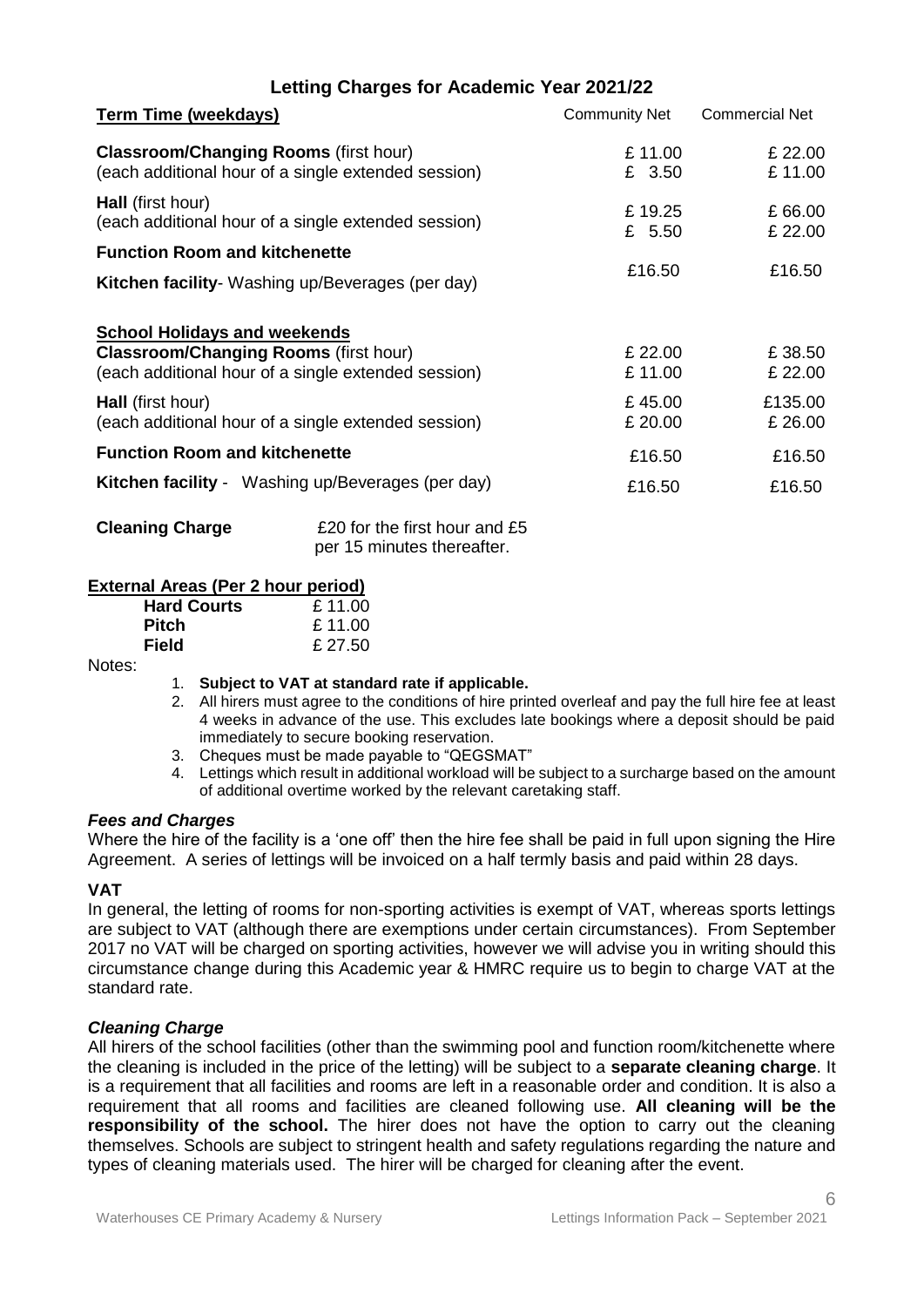# **Letting Charges for Academic Year 2021/22**

| <b>Term Time (weekdays)</b>                                                                                                                | <b>Community Net</b> | <b>Commercial Net</b> |
|--------------------------------------------------------------------------------------------------------------------------------------------|----------------------|-----------------------|
| <b>Classroom/Changing Rooms (first hour)</b><br>(each additional hour of a single extended session)                                        | £11.00<br>£ 3.50     | £ 22.00<br>£11.00     |
| <b>Hall</b> (first hour)<br>(each additional hour of a single extended session)                                                            | £19.25<br>£ 5.50     | £66.00<br>£ 22.00     |
| <b>Function Room and kitchenette</b><br>Kitchen facility- Washing up/Beverages (per day)                                                   | £16.50               | £16.50                |
| <b>School Holidays and weekends</b><br><b>Classroom/Changing Rooms (first hour)</b><br>(each additional hour of a single extended session) | £ 22.00<br>£11.00    | £38.50<br>£ 22.00     |
| <b>Hall</b> (first hour)<br>(each additional hour of a single extended session)                                                            | £45.00<br>£ 20.00    | £135.00<br>£ 26.00    |
| <b>Function Room and kitchenette</b>                                                                                                       | £16.50               | £16.50                |
| <b>Kitchen facility</b> - Washing up/Beverages (per day)                                                                                   | £16.50               | £16.50                |

| <b>Cleaning Charge</b> | £20 for the first hour and £5 |
|------------------------|-------------------------------|
|                        | per 15 minutes thereafter.    |

#### **External Areas (Per 2 hour period)**

| <b>Hard Courts</b> | £11.00  |
|--------------------|---------|
| Pitch              | £11.00  |
| Field              | £ 27.50 |
|                    |         |

#### Notes:

- 1. **Subject to VAT at standard rate if applicable.**
- 2. All hirers must agree to the conditions of hire printed overleaf and pay the full hire fee at least 4 weeks in advance of the use. This excludes late bookings where a deposit should be paid immediately to secure booking reservation.
- 3. Cheques must be made payable to "QEGSMAT"
- 4. Lettings which result in additional workload will be subject to a surcharge based on the amount of additional overtime worked by the relevant caretaking staff.

#### *Fees and Charges*

Where the hire of the facility is a 'one off' then the hire fee shall be paid in full upon signing the Hire Agreement. A series of lettings will be invoiced on a half termly basis and paid within 28 days.

#### **VAT**

In general, the letting of rooms for non-sporting activities is exempt of VAT, whereas sports lettings are subject to VAT (although there are exemptions under certain circumstances). From September 2017 no VAT will be charged on sporting activities, however we will advise you in writing should this circumstance change during this Academic year & HMRC require us to begin to charge VAT at the standard rate.

#### *Cleaning Charge*

All hirers of the school facilities (other than the swimming pool and function room/kitchenette where the cleaning is included in the price of the letting) will be subject to a **separate cleaning charge**. It is a requirement that all facilities and rooms are left in a reasonable order and condition. It is also a requirement that all rooms and facilities are cleaned following use. **All cleaning will be the responsibility of the school.** The hirer does not have the option to carry out the cleaning themselves. Schools are subject to stringent health and safety regulations regarding the nature and types of cleaning materials used. The hirer will be charged for cleaning after the event.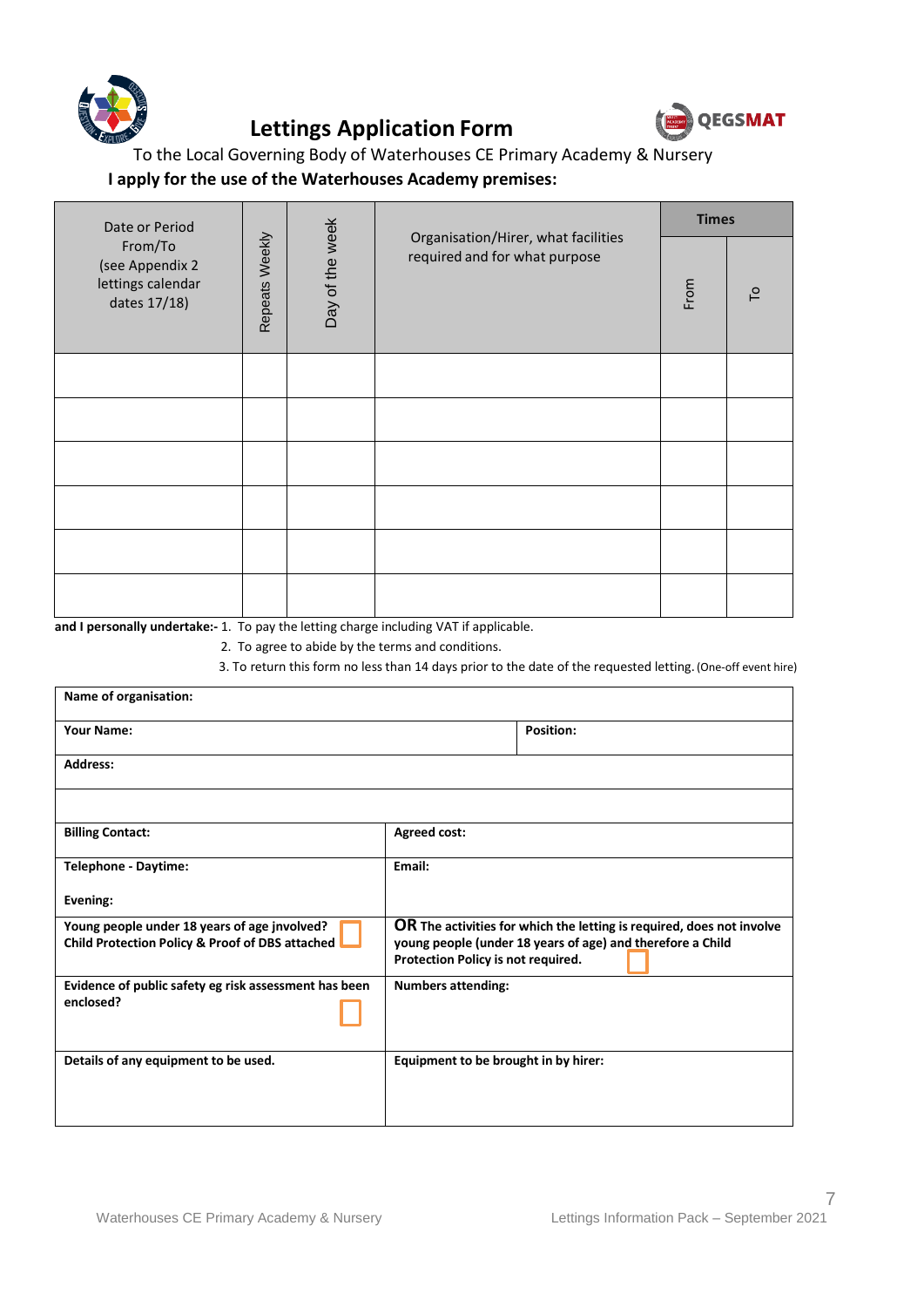

# **Lettings Application Form**



To the Local Governing Body of Waterhouses CE Primary Academy & Nursery

# **I apply for the use of the Waterhouses Academy premises:**

| Date or Period                                                  |                | <b>Times</b>    |                                                                      |      |                |
|-----------------------------------------------------------------|----------------|-----------------|----------------------------------------------------------------------|------|----------------|
| From/To<br>(see Appendix 2<br>lettings calendar<br>dates 17/18) | Repeats Weekly | Day of the week | Organisation/Hirer, what facilities<br>required and for what purpose | From | $\overline{C}$ |
|                                                                 |                |                 |                                                                      |      |                |
|                                                                 |                |                 |                                                                      |      |                |
|                                                                 |                |                 |                                                                      |      |                |
|                                                                 |                |                 |                                                                      |      |                |
|                                                                 |                |                 |                                                                      |      |                |
|                                                                 |                |                 |                                                                      |      |                |

**and I personally undertake:-** 1. To pay the letting charge including VAT if applicable.

2. To agree to abide by the terms and conditions.

3. To return this form no less than 14 days prior to the date of the requested letting. (One-off event hire)

| Name of organisation:                                                                           |                                      |                                                                                                                                     |
|-------------------------------------------------------------------------------------------------|--------------------------------------|-------------------------------------------------------------------------------------------------------------------------------------|
| <b>Your Name:</b>                                                                               |                                      | <b>Position:</b>                                                                                                                    |
| <b>Address:</b>                                                                                 |                                      |                                                                                                                                     |
|                                                                                                 |                                      |                                                                                                                                     |
| <b>Billing Contact:</b>                                                                         | <b>Agreed cost:</b>                  |                                                                                                                                     |
| <b>Telephone - Daytime:</b>                                                                     | Email:                               |                                                                                                                                     |
| Evening:                                                                                        |                                      |                                                                                                                                     |
| Young people under 18 years of age jnvolved?<br>Child Protection Policy & Proof of DBS attached | Protection Policy is not required.   | OR The activities for which the letting is required, does not involve<br>young people (under 18 years of age) and therefore a Child |
| Evidence of public safety eg risk assessment has been<br>enclosed?                              | <b>Numbers attending:</b>            |                                                                                                                                     |
| Details of any equipment to be used.                                                            | Equipment to be brought in by hirer: |                                                                                                                                     |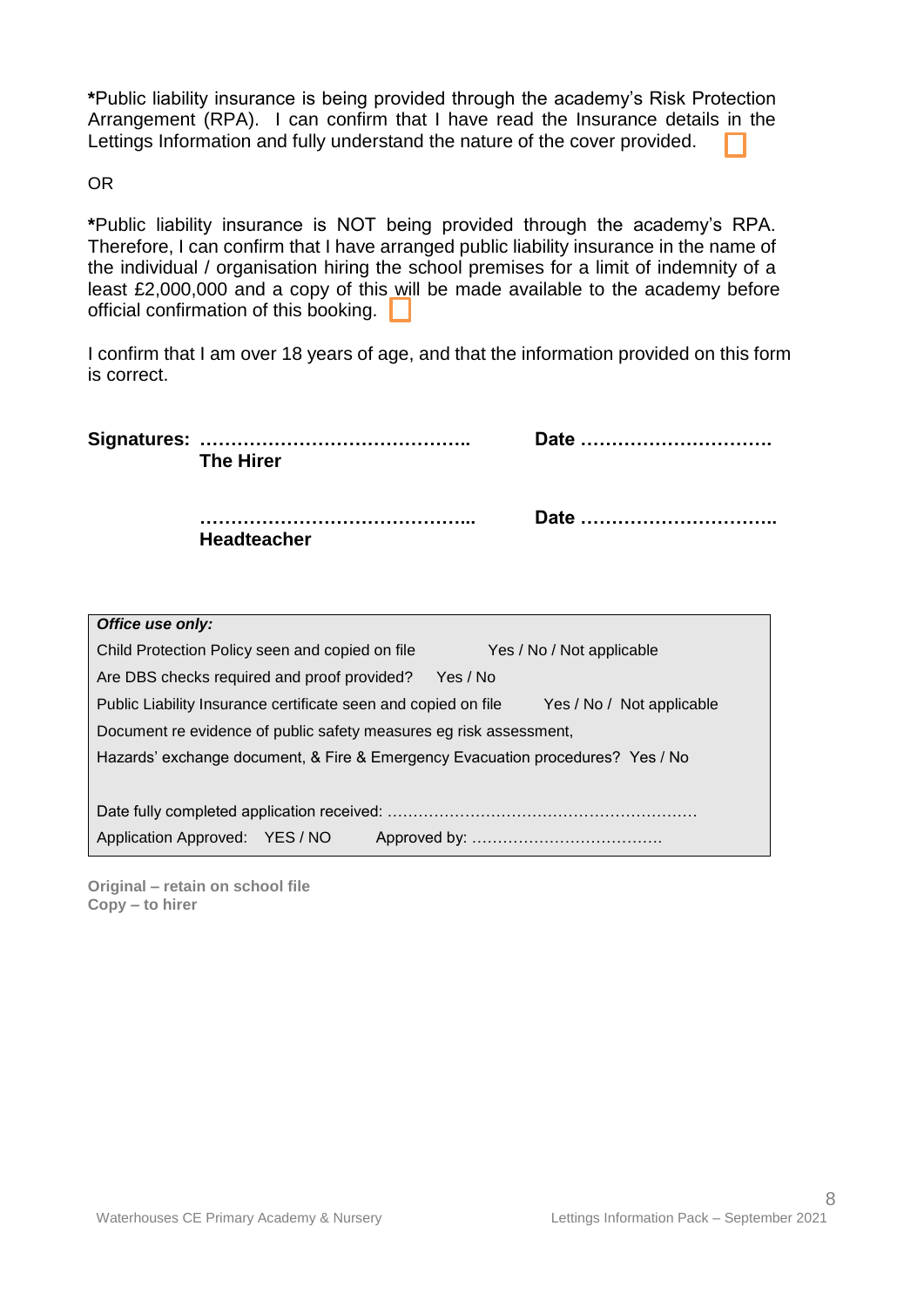**\***Public liability insurance is being provided through the academy's Risk Protection Arrangement (RPA). I can confirm that I have read the Insurance details in the Lettings Information and fully understand the nature of the cover provided.

OR

**\***Public liability insurance is NOT being provided through the academy's RPA. Therefore, I can confirm that I have arranged public liability insurance in the name of the individual / organisation hiring the school premises for a limit of indemnity of a least £2,000,000 and a copy of this will be made available to the academy before official confirmation of this booking.

I confirm that I am over 18 years of age, and that the information provided on this form is correct.

|                  | <b>The Hirer</b>   | Date |  |
|------------------|--------------------|------|--|
|                  | <b>Headteacher</b> | Date |  |
| Office use only: |                    |      |  |

| Child Protection Policy seen and copied on file                                | Yes / No / Not applicable |  |  |
|--------------------------------------------------------------------------------|---------------------------|--|--|
| Are DBS checks required and proof provided?                                    | Yes / No                  |  |  |
| Public Liability Insurance certificate seen and copied on file                 | Yes / No / Not applicable |  |  |
| Document re evidence of public safety measures eg risk assessment,             |                           |  |  |
| Hazards' exchange document, & Fire & Emergency Evacuation procedures? Yes / No |                           |  |  |
|                                                                                |                           |  |  |
|                                                                                |                           |  |  |
| Application Approved: YES / NO                                                 |                           |  |  |
|                                                                                |                           |  |  |

**Original – retain on school file Copy – to hirer**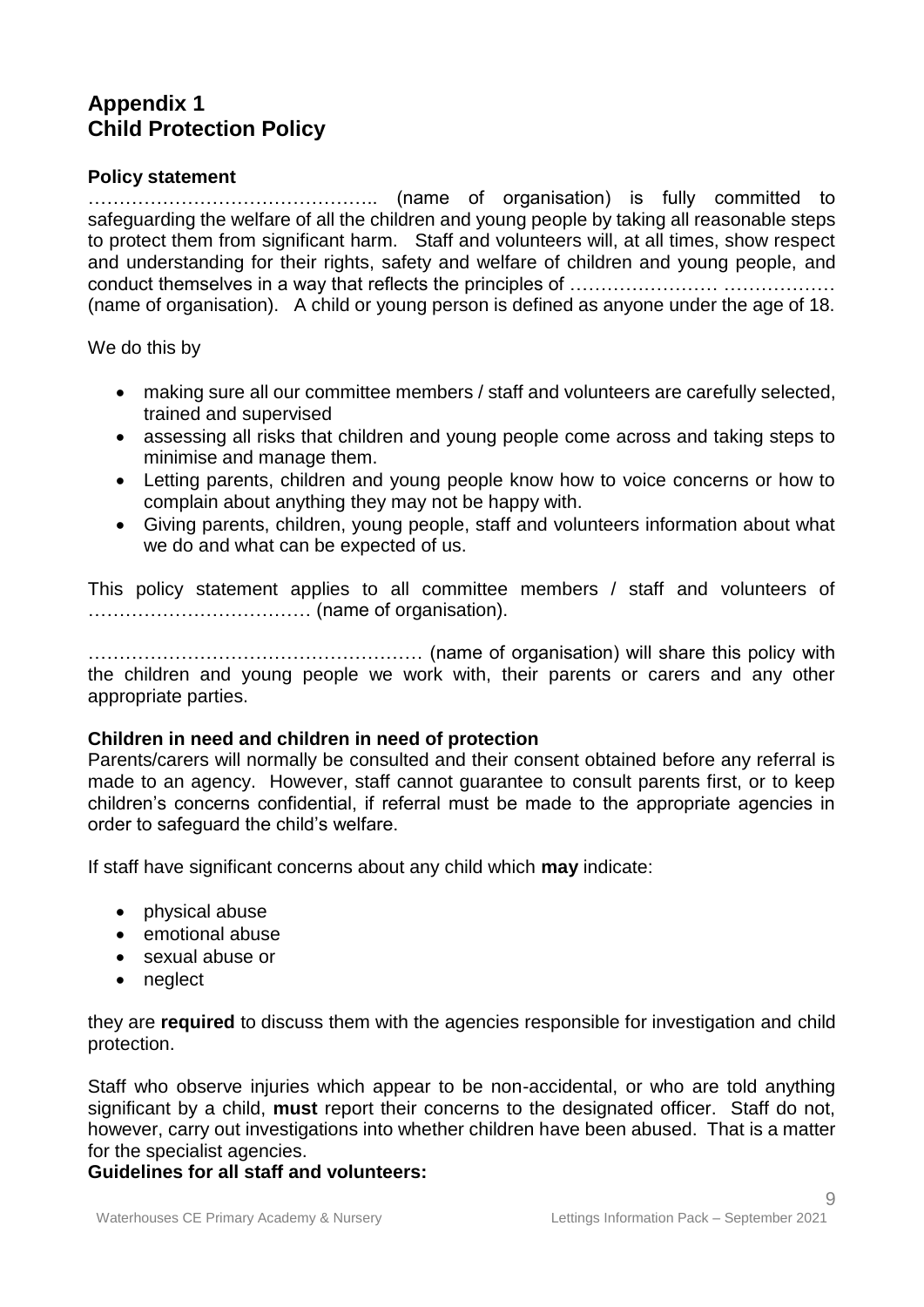# **Appendix 1 Child Protection Policy**

# **Policy statement**

……………………………………….. (name of organisation) is fully committed to safeguarding the welfare of all the children and young people by taking all reasonable steps to protect them from significant harm. Staff and volunteers will, at all times, show respect and understanding for their rights, safety and welfare of children and young people, and conduct themselves in a way that reflects the principles of …………………… ……………… (name of organisation). A child or young person is defined as anyone under the age of 18.

We do this by

- making sure all our committee members / staff and volunteers are carefully selected, trained and supervised
- assessing all risks that children and young people come across and taking steps to minimise and manage them.
- Letting parents, children and young people know how to voice concerns or how to complain about anything they may not be happy with.
- Giving parents, children, young people, staff and volunteers information about what we do and what can be expected of us.

This policy statement applies to all committee members / staff and volunteers of ……………………………… (name of organisation).

……………………………………………… (name of organisation) will share this policy with the children and young people we work with, their parents or carers and any other appropriate parties.

# **Children in need and children in need of protection**

Parents/carers will normally be consulted and their consent obtained before any referral is made to an agency. However, staff cannot guarantee to consult parents first, or to keep children's concerns confidential, if referral must be made to the appropriate agencies in order to safeguard the child's welfare.

If staff have significant concerns about any child which **may** indicate:

- physical abuse
- emotional abuse
- sexual abuse or
- neglect

they are **required** to discuss them with the agencies responsible for investigation and child protection.

Staff who observe injuries which appear to be non-accidental, or who are told anything significant by a child, **must** report their concerns to the designated officer. Staff do not, however, carry out investigations into whether children have been abused. That is a matter for the specialist agencies.

# **Guidelines for all staff and volunteers:**